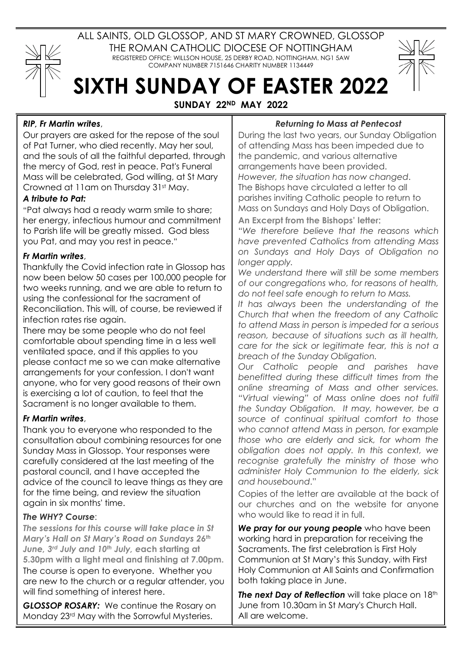

ALL SAINTS, OLD GLOSSOP, AND ST MARY CROWNED, GLOSSOP THE ROMAN CATHOLIC DIOCESE OF NOTTINGHAM REGISTERED OFFICE: WILLSON HOUSE, 25 DERBY ROAD, NOTTINGHAM. NG1 5AW COMPANY NUMBER 7151646 CHARITY NUMBER 1134449

# **SIXTH SUNDAY OF EASTER 2022**

**SUNDAY 22ND MAY 2022**

## *RIP, Fr Martin writes*,

Our prayers are asked for the repose of the soul of Pat Turner, who died recently. May her soul, and the souls of all the faithful departed, through the mercy of God, rest in peace. Pat's Funeral Mass will be celebrated, God willing, at St Mary Crowned at 11am on Thursday 31st May.

### *A tribute to Pat:*

"Pat always had a ready warm smile to share; her energy, infectious humour and commitment to Parish life will be greatly missed. God bless you Pat, and may you rest in peace."

### *Fr Martin writes*,

Thankfully the Covid infection rate in Glossop has now been below 50 cases per 100,000 people for two weeks running, and we are able to return to using the confessional for the sacrament of Reconciliation. This will, of course, be reviewed if infection rates rise again.

There may be some people who do not feel comfortable about spending time in a less well ventilated space, and if this applies to you please contact me so we can make alternative arrangements for your confession. I don't want anyone, who for very good reasons of their own is exercising a lot of caution, to feel that the Sacrament is no longer available to them.

### *Fr Martin writes*,

Thank you to everyone who responded to the consultation about combining resources for one Sunday Mass in Glossop. Your responses were carefully considered at the last meeting of the pastoral council, and I have accepted the advice of the council to leave things as they are for the time being, and review the situation again in six months' time.

### *The WHY? Course*:

*The sessions for this course will take place in St Mary's Hall on St Mary's Road on Sundays 26th June, 3rd July and 10th July, e***ach starting at 5.30pm with a light meal and finishing at 7.00pm.** The course is open to everyone. Whether you are new to the church or a regular attender, you will find something of interest here.

*GLOSSOP ROSARY:* We continue the Rosary on Monday 23rd May with the Sorrowful Mysteries.

#### *Returning to Mass at Pentecost*

During the last two years, our Sunday Obligation of attending Mass has been impeded due to the pandemic, and various alternative arrangements have been provided. *However, the situation has now changed*. The Bishops have circulated a letter to all parishes inviting Catholic people to return to Mass on Sundays and Holy Days of Obligation. **An Excerpt from the Bishops' letter**:

"*We therefore believe that the reasons which have prevented Catholics from attending Mass on Sundays and Holy Days of Obligation no longer apply.*

*We understand there will still be some members of our congregations who, for reasons of health, do not feel safe enough to return to Mass.*

*It has always been the understanding of the Church that when the freedom of any Catholic to attend Mass in person is impeded for a serious reason, because of situations such as ill health, care for the sick or legitimate fear, this is not a breach of the Sunday Obligation.*

*Our Catholic people and parishes have benefitted during these difficult times from the online streaming of Mass and other services. "Virtual viewing" of Mass online does not fulfil the Sunday Obligation. It may, however, be a source of continual spiritual comfort to those who cannot attend Mass in person, for example those who are elderly and sick, for whom the obligation does not apply. In this context, we recognise gratefully the ministry of those who administer Holy Communion to the elderly, sick and housebound*."

Copies of the letter are available at the back of our churches and on the website for anyone who would like to read it in full.

*We pray for our young people* who have been working hard in preparation for receiving the Sacraments. The first celebration is First Holy Communion at St Mary's this Sunday, with First Holy Communion at All Saints and Confirmation both taking place in June.

**The next Day of Reflection** will take place on 18th June from 10.30am in St Mary's Church Hall. All are welcome.